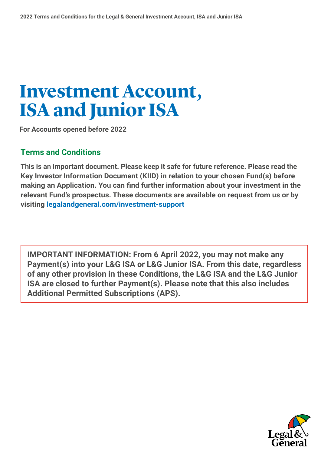# **Investment Account, ISA and Junior ISA**

**For Accounts opened before 2022** 

## **Terms and Conditions**

 **Key Investor Information Document (KIID) in relation to your chosen Fund(s) before This is an important document. Please keep it safe for future reference. Please read the making an Application. You can find further information about your investment in the relevant Fund's prospectus. These documents are available on request from us or by visiting [legalandgeneral.com/investment-support](http://legalandgeneral.com/investment-support)** 

**IMPORTANT INFORMATION: From 6 April 2022, you may not make any Payment(s) into your L&G ISA or L&G Junior ISA. From this date, regardless of any other provision in these Conditions, the L&G ISA and the L&G Junior ISA are closed to further Payment(s). Please note that this also includes Additional Permitted Subscriptions (APS).** 

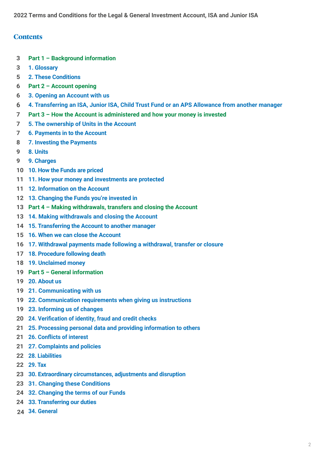### **Contents**

- **3 Part 1 Background information**
- **3 1. Glossary**
- **5 2. These Conditions**
- **6 Part 2 Account opening**
- **6 3. Opening an Account with us**
- **6 4. Transferring an ISA, Junior ISA, Child Trust Fund or an APS Allowance from another manager**
- **7 Part 3 How the Account is administered and how your money is invested**
- **7 5. The ownership of Units in the Account**
- **7 6. Payments in to the Account**
- **8 7. Investing the Payments**
- **9 8. Units**
- **9 9. Charges**
- **10 10. How the Funds are priced**
- **11 11. How your money and investments are protected**
- **11 12. Information on the Account**
- **12 13. Changing the Funds you're invested in**
- **13 Part 4 Making withdrawals, transfers and closing the Account**
- **13 14. Making withdrawals and closing the Account**
- **14 15. Transferring the Account to another manager**
- **15 16. When we can close the Account**
- **16 17. Withdrawal payments made following a withdrawal, transfer or closure**
- **17 18. Procedure following death**
- **18 19. Unclaimed money**
- **19 Part 5 General information**
- **19 20. About us**
- **19 21. Communicating with us**
- **19 22. Communication requirements when giving us instructions**
- **19 23. Informing us of changes**
- **20 24. Verification of identity, fraud and credit checks**
- **21 25. Processing personal data and providing information to others**
- **21 26. Conflicts of interest**
- **21 27. Complaints and policies**
- **22 28. Liabilities**
- **22 29. Tax**
- **23 30. Extraordinary circumstances, adjustments and disruption**
- **23 31. Changing these Conditions**
- **24 32. Changing the terms of our Funds**
- **24 33. Transferring our duties**
- **24 34. General**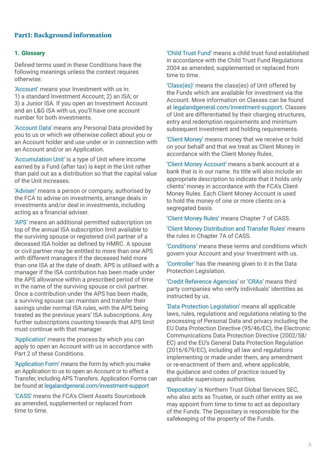### **Part1: Background information**

#### **1. Glossary**

Defined terms used in these Conditions have the following meanings unless the context requires otherwise:

'Account' means your Investment with us in: 1) a standard Investment Account; 2) an ISA; or 3) a Junior ISA. If you open an Investment Account and an L&G ISA with us, you'll have one account number for both investments.

'Account Data' means any Personal Data provided by you to us or which we otherwise collect about you or an Account holder and use under or in connection with an Account and/or an Application.

'Accumulation Unit' is a type of Unit where income earned by a Fund (after tax) is kept in the Unit rather than paid out as a distribution so that the capital value of the Unit increases.

'Adviser' means a person or company, authorised by the FCA to advise on investments, arrange deals in investments and/or deal in investments, including acting as a financial adviser.

'APS' means an additional permitted subscription on top of the annual ISA subscription limit available to the surviving spouse or registered civil partner of a deceased ISA holder as defined by HMRC. A spouse or civil partner may be entitled to more than one APS with different managers if the deceased held more than one ISA at the date of death. APS is utilised with a manager if the ISA contribution has been made under the APS allowance within a prescribed period of time in the name of the surviving spouse or civil partner. Once a contribution under the APS has been made, a surviving spouse can maintain and transfer their savings under normal ISA rules, with the APS being treated as the previous years' ISA subscriptions. Any further subscriptions counting towards that APS limit must continue with that manager.

'Application' means the process by which you can apply to open an Account with us in accordance with Part 2 of these Conditions.

'Application Form' means the form by which you make an Application to us to open an Account or to effect a Transfer, including APS Transfers. Application Forms can be found at [legalandgeneral.com/investment-support](http://legalandgeneral.com/investment-support)

'CASS' means the FCA's Client Assets Sourcebook as amended, supplemented or replaced from time to time.

'Child Trust Fund' means a child trust fund established in accordance with the Child Trust Fund Regulations 2004 as amended, supplemented or replaced from time to time.

'Class(es)' means the class(es) of Unit offered by the Funds which are available for investment via the Account. More information on Classes can be found at [legalandgeneral.com/investment-support](http://legalandgeneral.com/investment-support). Classes of Unit are differentiated by their charging structures, entry and redemption requirements and minimum subsequent investment and holding requirements.

'Client Money' means money that we receive or hold on your behalf and that we treat as Client Money in accordance with the Client Money Rules.

'Client Money Account' means a bank account at a bank that is in our name. Its title will also include an appropriate description to indicate that it holds only clients' money in accordance with the FCA's Client Money Rules. Each Client Money Account is used to hold the money of one or more clients on a segregated basis.

'Client Money Rules' means Chapter 7 of CASS.

'Client Money Distribution and Transfer Rules' means the rules in Chapter 7A of CASS.

'Conditions' means these terms and conditions which govern your Account and your Investment with us.

'Controller' has the meaning given to it in the Data Protection Legislation.

'Credit Reference Agencies' or 'CRAs' means third party companies who verify individuals' identities as instructed by us.

'Data Protection Legislation' means all applicable laws, rules, regulations and regulations relating to the processing of Personal Data and privacy including the EU Data Protection Directive (95/46/EC), the Electronic Communications Data Protection Directive (2002/58/ EC) and the EU's General Data Protection Regulation (2016/679/EC), including all law and regulations implementing or made under them, any amendment or re-enactment of them and, where applicable, the guidance and codes of practice issued by applicable supervisory authorities.

'Depositary' is Northern Trust Global Services SEC, who also acts as Trustee, or such other entity as we may appoint from time to time to act as depositary of the Funds. The Depositary is responsible for the safekeeping of the property of the Funds.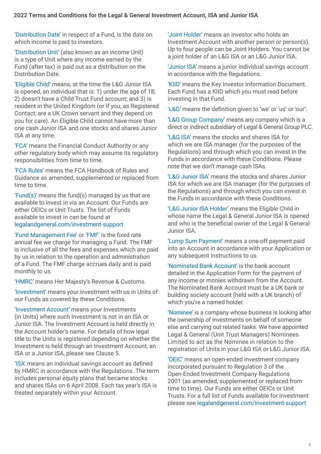'Distribution Date' in respect of a Fund, is the date on which income is paid to investors.

'Distribution Unit' (also known as an income Unit) is a type of Unit where any income earned by the Fund (after tax) is paid out as a distribution on the Distribution Date.

'Eligible Child' means, at the time the L&G Junior ISA is opened, an individual that is: 1) under the age of 18; 2) doesn't have a Child Trust Fund account; and 3) is resident in the United Kingdom (or if you, as Registered Contact, are a UK Crown servant and they depend on you for care). An Eligible Child cannot have more than one cash Junior ISA and one stocks and shares Junior ISA at any time.

'FCA' means the Financial Conduct Authority or any other regulatory body which may assume its regulatory responsibilities from time to time.

'FCA Rules' means the FCA Handbook of Rules and Guidance as amended, supplemented or replaced from time to time.

'Fund(s)' means the fund(s) managed by us that are available to invest in via an Account. Our Funds are either OEICs or Unit Trusts. The list of Funds available to invest in can be found at [legalandgeneral.com/investment-support](http://legalandgeneral.com/investment-support)

'Fund Management Fee' or 'FMF' is the fixed rate annual fee we charge for managing a Fund. The FMF is inclusive of all the fees and expenses which are paid by us in relation to the operation and administration of a Fund. The FMF charge accrues daily and is paid monthly to us.

'HMRC' means Her Majesty's Revenue & Customs.

'Investment' means your investment with us in Units of our Funds as covered by these Conditions.

'Investment Account' means your Investments (in Units) where such Investment is not in an ISA or Junior ISA. The Investment Account is held directly in the Account holder's name. For details of how legal title to the Units is registered depending on whether the Investment is held through an Investment Account, an ISA or a Junior ISA, please see Clause 5.

'ISA' means an individual savings account as defined by HMRC in accordance with the Regulations. The term includes personal equity plans that became stocks and shares ISAs on 6 April 2008. Each tax year's ISA is treated separately within your Account.

'Joint Holder' means an investor who holds an Investment Account with another person or person(s). Up to four people can be Joint Holders. You cannot be a joint holder of an L&G ISA or an L&G Junior ISA.

'Junior ISA' means a junior individual savings account in accordance with the Regulations.

'KIID' means the Key Investor Information Document. Each Fund has a KIID which you must read before investing in that Fund.

'L&G' means the definition given to 'we' or 'us' or 'our'.

'L&G Group Company' means any company which is a direct or indirect subsidiary of Legal & General Group PLC.

'L&G ISA' means the stocks and shares ISA for which we are ISA manager (for the purposes of the Regulations) and through which you can invest in the Funds in accordance with these Conditions. Please note that we don't manage cash ISAs.

'L&G Junior ISA' means the stocks and shares Junior ISA for which we are ISA manager (for the purposes of the Regulations) and through which you can invest in the Funds in accordance with these Conditions.

'L&G Junior ISA Holder' means the Eligible Child in whose name the Legal & General Junior ISA is opened and who is the beneficial owner of the Legal & General Junior ISA.

'Lump Sum Payment' means a one-off payment paid into an Account in accordance with your Application or any subsequent instructions to us.

'Nominated Bank Account' is the bank account detailed in the Application Form for the payment of any income or monies withdrawn from the Account. The Nominated Bank Account must be a UK bank or building society account (held with a UK branch) of which you're a named holder.

'Nominee' is a company whose business is looking after the ownership of investments on behalf of someone else and carrying out related tasks. We have appointed Legal & General (Unit Trust Managers) Nominees Limited to act as the Nominee in relation to the registration of Units in your L&G ISA or L&G Junior ISA.

'OEIC' means an open-ended investment company incorporated pursuant to Regulation 3 of the Open-Ended Investment Company Regulations 2001 (as amended, supplemented or replaced from time to time). Our Funds are either OEICs or Unit Trusts. For a full list of Funds available for investment please see [legalandgeneral.com/investment-support](http://legalandgeneral.com/investment-support)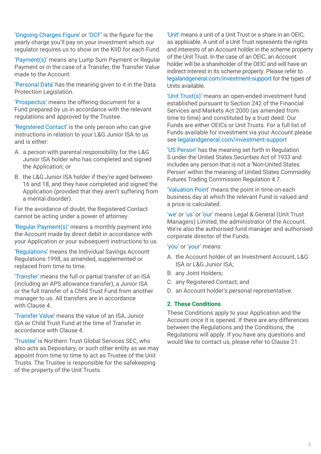'Ongoing Charges Figure' or 'OCF' is the figure for the yearly charge you'll pay on your investment which our regulator requires us to show on the KIID for each Fund.

'Payment(s)' means any Lump Sum Payment or Regular Payment or in the case of a Transfer, the Transfer Value made to the Account.

'Personal Data' has the meaning given to it in the Data Protection Legislation.

'Prospectus' means the offering document for a Fund prepared by us in accordance with the relevant regulations and approved by the Trustee.

'Registered Contact' is the only person who can give instructions in relation to your L&G Junior ISA to us and is either:

- A. a person with parental responsibility for the L&G Junior ISA holder who has completed and signed the Application; or
- B. the L&G Junior ISA holder if they're aged between 16 and 18, and they have completed and signed the Application (provided that they aren't suffering from a mental disorder).

For the avoidance of doubt, the Registered Contact cannot be acting under a power of attorney.

'Regular Payment(s)' means a monthly payment into the Account made by direct debit in accordance with your Application or your subsequent instructions to us.

'Regulations' means the Individual Savings Account Regulations 1998, as amended, supplemented or replaced from time to time.

'Transfer' means the full or partial transfer of an ISA (including an APS allowance transfer), a Junior ISA or the full transfer of a Child Trust Fund from another manager to us. All transfers are in accordance with Clause 4.

'Transfer Value' means the value of an ISA, Junior ISA or Child Trust Fund at the time of Transfer in accordance with Clause 4.

'Trustee' is Northern Trust Global Services SEC, who also acts as Depositary, or such other entity as we may appoint from time to time to act as Trustee of the Unit Trusts. The Trustee is responsible for the safekeeping of the property of the Unit Trusts.

'Unit' means a unit of a Unit Trust or a share in an OEIC, as applicable. A unit of a Unit Trust represents the rights and interests of an Account holder in the scheme property of the Unit Trust. In the case of an OEIC, an Account holder will be a shareholder of the OEIC and will have an indirect interest in its scheme property. Please refer to [legalandgeneral.com/investment-support](http://legalandgeneral.com/investment-support) for the types of Units available.

'Unit Trust(s)' means an open-ended investment fund established pursuant to Section 242 of the Financial Services and Markets Act 2000 (as amended from time to time) and constituted by a trust deed. Our Funds are either OEICs or Unit Trusts. For a full list of Funds available for investment via your Account please see [legalandgeneral.com/investment-support](http://legalandgeneral.com/investment-support)

'US Person' has the meaning set forth in Regulation S under the United States Securities Act of 1933 and includes any person that is not a 'Non-United States Person' within the meaning of United States Commodity Futures Trading Commission Regulation 4.7.

'Valuation Point' means the point in time on each business day at which the relevant Fund is valued and a price is calculated.

'we' or 'us' or 'our' means Legal & General (Unit Trust Managers) Limited, the administrator of the Account. We're also the authorised fund manager and authorised corporate director of the Funds.

#### 'you' or 'your' means:

- A. the Account holder of an Investment Account, L&G ISA or L&G Junior ISA;
- B. any Joint Holders;
- C. any Registered Contact; and
- D. an Account holder's personal representative.

#### **2. These Conditions**

These Conditions apply to your Application and the Account once it is opened. If there are any differences between the Regulations and the Conditions, the Regulations will apply. If you have any questions and would like to contact us, please refer to Clause 21.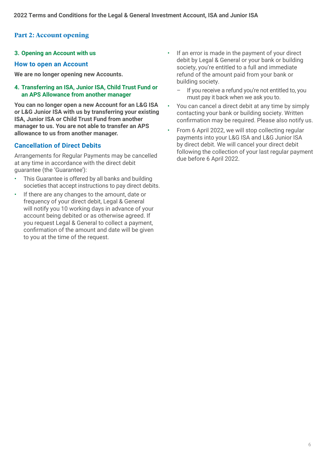### **Part 2: Account opening**

#### **3. Opening an Account with us**

#### **How to open an Account**

**We are no longer opening new Accounts.** 

#### **4. Transferring an ISA, Junior ISA, Child Trust Fund or an APS Allowance from another manager**

**You can no longer open a new Account for an L&G ISA or L&G Junior ISA with us by transferring your existing ISA, Junior ISA or Child Trust Fund from another manager to us. You are not able to transfer an APS allowance to us from another manager.** 

### **Cancellation of Direct Debits**

Arrangements for Regular Payments may be cancelled at any time in accordance with the direct debit guarantee (the 'Guarantee'):

- This Guarantee is offered by all banks and building societies that accept instructions to pay direct debits.
- If there are any changes to the amount, date or frequency of your direct debit, Legal & General will notify you 10 working days in advance of your account being debited or as otherwise agreed. If you request Legal & General to collect a payment, confirmation of the amount and date will be given to you at the time of the request.
- If an error is made in the payment of your direct debit by Legal & General or your bank or building society, you're entitled to a full and immediate refund of the amount paid from your bank or building society.
	- If you receive a refund you're not entitled to, you must pay it back when we ask you to.
- You can cancel a direct debit at any time by simply contacting your bank or building society. Written confirmation may be required. Please also notify us.
- $\ddot{\phantom{0}}$ • From 6 April 2022, we will stop collecting regular payments into your L&G ISA and L&G Junior ISA by direct debit. We will cancel your direct debit following the collection of your last regular payment due before 6 April 2022.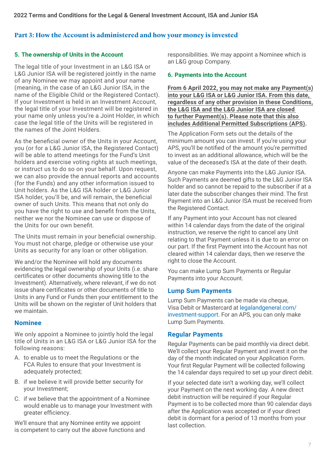### **Part 3: How the Account is administered and how your money is invested**

### **5. The ownership of Units in the Account**

The legal title of your Investment in an L&G ISA or L&G Junior ISA will be registered jointly in the name of any Nominee we may appoint and your name (meaning, in the case of an L&G Junior ISA, in the name of the Eligible Child or the Registered Contact). If your Investment is held in an Investment Account, the legal title of your Investment will be registered in your name only unless you're a Joint Holder, in which case the legal title of the Units will be registered in the names of the Joint Holders.

As the beneficial owner of the Units in your Account, you (or for a L&G Junior ISA, the Registered Contact) will be able to attend meetings for the Fund's Unit holders and exercise voting rights at such meetings, or instruct us to do so on your behalf. Upon request, we can also provide the annual reports and accounts (for the Funds) and any other information issued to Unit holders. As the L&G ISA holder or L&G Junior ISA holder, you'll be, and will remain, the beneficial owner of such Units. This means that not only do you have the right to use and benefit from the Units, neither we nor the Nominee can use or dispose of the Units for our own benefit.

The Units must remain in your beneficial ownership. You must not charge, pledge or otherwise use your Units as security for any loan or other obligation.

We and/or the Nominee will hold any documents evidencing the legal ownership of your Units (i.e. share certificates or other documents showing title to the Investment). Alternatively, where relevant, if we do not issue share certificates or other documents of title to Units in any Fund or Funds then your entitlement to the Units will be shown on the register of Unit holders that we maintain.

### **Nominee**

We only appoint a Nominee to jointly hold the legal title of Units in an L&G ISA or L&G Junior ISA for the following reasons:

- A. to enable us to meet the Regulations or the FCA Rules to ensure that your Investment is adequately protected;
- B. if we believe it will provide better security for your Investment;
- C. if we believe that the appointment of a Nominee would enable us to manage your Investment with greater efficiency.

We'll ensure that any Nominee entity we appoint is competent to carry out the above functions and responsibilities. We may appoint a Nominee which is an L&G group Company.

### **6. Payments into the Account**

**From 6 April 2022, you may not make any Payment(s) into your L&G ISA or L&G Junior ISA. From this date, regardless of any other provision in these Conditions, the L&G ISA and the L&G Junior ISA are closed to further Payment(s). Please note that this also includes Additional Permitted Subscriptions (APS).** 

The Application Form sets out the details of the minimum amount you can invest. If you're using your APS, you'll be notified of the amount you're permitted to invest as an additional allowance, which will be the value of the deceased's ISA at the date of their death.

Anyone can make Payments into the L&G Junior ISA. Such Payments are deemed gifts to the L&G Junior ISA holder and so cannot be repaid to the subscriber if at a later date the subscriber changes their mind. The first Payment into an L&G Junior ISA must be received from the Registered Contact.

If any Payment into your Account has not cleared within 14 calendar days from the date of the original instruction, we reserve the right to cancel any Unit relating to that Payment unless it is due to an error on our part. If the first Payment into the Account has not cleared within 14 calendar days, then we reserve the right to close the Account.

You can make Lump Sum Payments or Regular Payments into your Account.

### **Lump Sum Payments**

Lump Sum Payments can be made via cheque, Visa Debit or Mastercard at [legalandgeneral.com/](http://legalandgeneral.com/investment-support) [investment-support.](http://legalandgeneral.com/investment-support) For an APS, you can only make Lump Sum Payments.

### **Regular Payments**

Regular Payments can be paid monthly via direct debit. We'll collect your Regular Payment and invest it on the day of the month indicated on your Application Form. Your first Regular Payment will be collected following the 14 calendar days required to set up your direct debit.

If your selected date isn't a working day, we'll collect your Payment on the next working day. A new direct debit instruction will be required if your Regular Payment is to be collected more than 90 calendar days after the Application was accepted or if your direct debit is dormant for a period of 13 months from your last collection.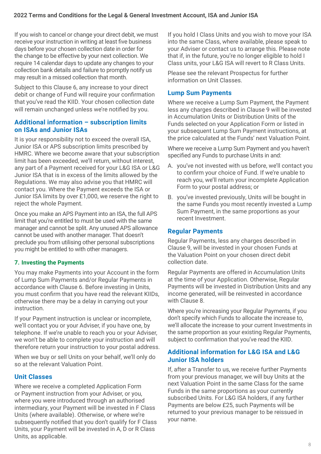If you wish to cancel or change your direct debit, we must receive your instruction in writing at least five business days before your chosen collection date in order for the change to be effective by your next collection. We require 14 calendar days to update any changes to your collection bank details and failure to promptly notify us may result in a missed collection that month.

Subject to this Clause 6, any increase to your direct debit or change of Fund will require your confirmation that you've read the KIID. Your chosen collection date will remain unchanged unless we're notified by you.

### **Additional information – subscription limits on ISAs and Junior ISAs**

It is your responsibility not to exceed the overall ISA, Junior ISA or APS subscription limits prescribed by HMRC. Where we become aware that your subscription limit has been exceeded, we'll return, without interest, any part of a Payment received for your L&G ISA or L&G Junior ISA that is in excess of the limits allowed by the Regulations. We may also advise you that HMRC will contact you. Where the Payment exceeds the ISA or Junior ISA limits by over £1,000, we reserve the right to reject the whole Payment.

Once you make an APS Payment into an ISA, the full APS limit that you're entitled to must be used with the same manager and cannot be split. Any unused APS allowance cannot be used with another manager. That doesn't preclude you from utilising other personal subscriptions you might be entitled to with other managers.

### **7. Investing the Payments**

You may make Payments into your Account in the form of Lump Sum Payments and/or Regular Payments in accordance with Clause 6. Before investing in Units, you must confirm that you have read the relevant KIIDs, otherwise there may be a delay in carrying out your instruction.

If your Payment instruction is unclear or incomplete, we'll contact you or your Adviser, if you have one, by telephone. If we're unable to reach you or your Adviser, we won't be able to complete your instruction and will therefore return your instruction to your postal address.

When we buy or sell Units on your behalf, we'll only do so at the relevant Valuation Point.

### **Unit Classes**

Where we receive a completed Application Form or Payment instruction from your Adviser, or you, where you were introduced through an authorised intermediary, your Payment will be invested in F Class Units (where available). Otherwise, or where we're subsequently notified that you don't qualify for F Class Units, your Payment will be invested in A, D or R Class Units, as applicable.

If you hold I Class Units and you wish to move your ISA into the same Class, where available, please speak to your Adviser or contact us to arrange this. Please note that if, in the future, you're no longer eligible to hold I Class units, your L&G ISA will revert to R Class Units.

Please see the relevant Prospectus for further information on Unit Classes.

### **Lump Sum Payments**

Where we receive a Lump Sum Payment, the Payment less any charges described in Clause 9 will be invested in Accumulation Units or Distribution Units of the Funds selected on your Application Form or listed in your subsequent Lump Sum Payment instructions, at the price calculated at the Funds' next Valuation Point.

Where we receive a Lump Sum Payment and you haven't specified any Funds to purchase Units in and:

- A. you've not invested with us before, we'll contact you to confirm your choice of Fund. If we're unable to reach you, we'll return your incomplete Application Form to your postal address; or
- B. you've invested previously, Units will be bought in the same Funds you most recently invested a Lump Sum Payment, in the same proportions as your recent Investment.

### **Regular Payments**

Regular Payments, less any charges described in Clause 9, will be invested in your chosen Funds at the Valuation Point on your chosen direct debit collection date.

Regular Payments are offered in Accumulation Units at the time of your Application. Otherwise, Regular Payments will be invested in Distribution Units and any income generated, will be reinvested in accordance with Clause 8.

Where you're increasing your Regular Payments, if you don't specify which Funds to allocate the increase to, we'll allocate the increase to your current Investments in the same proportion as your existing Regular Payments, subject to confirmation that you've read the KIID.

### **Additional information for L&G ISA and L&G Junior ISA holders**

If, after a Transfer to us, we receive further Payments from your previous manager, we will buy Units at the next Valuation Point in the same Class for the same Funds in the same proportions as your currently subscribed Units. For L&G ISA holders, if any further Payments are below £25, such Payments will be returned to your previous manager to be reissued in your name.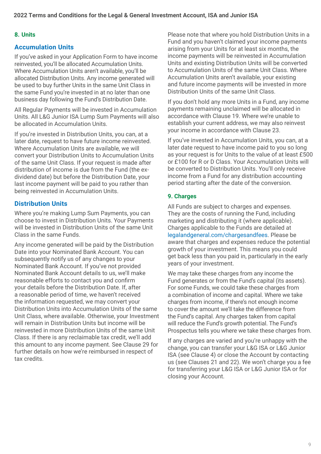### **8. Units**

### **Accumulation Units**

If you've asked in your Application Form to have income reinvested, you'll be allocated Accumulation Units. Where Accumulation Units aren't available, you'll be allocated Distribution Units. Any income generated will be used to buy further Units in the same Unit Class in the same Fund you're invested in at no later than one business day following the Fund's Distribution Date.

All Regular Payments will be invested in Accumulation Units. All L&G Junior ISA Lump Sum Payments will also be allocated in Accumulation Units.

If you're invested in Distribution Units, you can, at a later date, request to have future income reinvested. Where Accumulation Units are available, we will convert your Distribution Units to Accumulation Units of the same Unit Class. If your request is made after distribution of income is due from the Fund (the exdividend date) but before the Distribution Date, your last income payment will be paid to you rather than being reinvested in Accumulation Units.

### **Distribution Units**

Where you're making Lump Sum Payments, you can choose to invest in Distribution Units. Your Payments will be invested in Distribution Units of the same Unit Class in the same Funds.

Any income generated will be paid by the Distribution Date into your Nominated Bank Account. You can subsequently notify us of any changes to your Nominated Bank Account. If you've not provided Nominated Bank Account details to us, we'll make reasonable efforts to contact you and confirm your details before the Distribution Date. If, after a reasonable period of time, we haven't received the information requested, we may convert your Distribution Units into Accumulation Units of the same Unit Class, where available. Otherwise, your Investment will remain in Distribution Units but income will be reinvested in more Distribution Units of the same Unit Class. If there is any reclaimable tax credit, we'll add this amount to any income payment. See Clause 29 for further details on how we're reimbursed in respect of tax credits.

Please note that where you hold Distribution Units in a Fund and you haven't claimed your income payments arising from your Units for at least six months, the income payments will be reinvested in Accumulation Units and existing Distribution Units will be converted to Accumulation Units of the same Unit Class. Where Accumulation Units aren't available, your existing and future income payments will be invested in more Distribution Units of the same Unit Class.

If you don't hold any more Units in a Fund, any income payments remaining unclaimed will be allocated in accordance with Clause 19. Where we're unable to establish your current address, we may also reinvest your income in accordance with Clause 23.

If you've invested in Accumulation Units, you can, at a later date request to have income paid to you so long as your request is for Units to the value of at least £500 or £100 for R or D Class. Your Accumulation Units will be converted to Distribution Units. You'll only receive income from a Fund for any distribution accounting period starting after the date of the conversion.

### **9. Charges**

All Funds are subject to charges and expenses. They are the costs of running the Fund, including marketing and distributing it (where applicable). Charges applicable to the Funds are detailed at [legalandgeneral.com/chargesandfees](http://legalandgeneral.com/chargesandfees). Please be aware that charges and expenses reduce the potential growth of your investment. This means you could get back less than you paid in, particularly in the early years of your investment.

We may take these charges from any income the Fund generates or from the Fund's capital (its assets). For some Funds, we could take these charges from a combination of income and capital. Where we take charges from income, if there's not enough income to cover the amount we'll take the difference from the Fund's capital. Any charges taken from capital will reduce the Fund's growth potential. The Fund's Prospectus tells you where we take these charges from.

If any charges are varied and you're unhappy with the change, you can transfer your L&G ISA or L&G Junior ISA (see Clause 4) or close the Account by contacting us (see Clauses 21 and 22). We won't charge you a fee for transferring your L&G ISA or L&G Junior ISA or for closing your Account.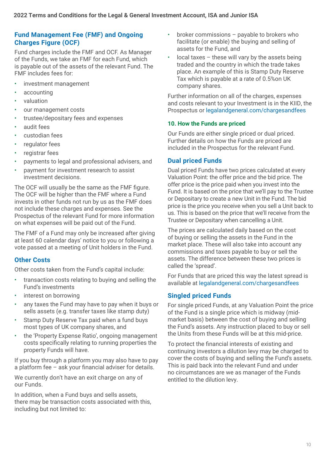### **Fund Management Fee (FMF) and Ongoing Charges Figure (OCF)**

Fund charges include the FMF and OCF. As Manager of the Funds, we take an FMF for each Fund, which is payable out of the assets of the relevant Fund. The FMF includes fees for:

- investment management
- accounting
- valuation
- our management costs
- trustee/depositary fees and expenses
- audit fees
- custodian fees
- regulator fees
- registrar fees
- payments to legal and professional advisers, and
- payment for investment research to assist investment decisions.

The OCF will usually be the same as the FMF figure. The OCF will be higher than the FMF where a Fund invests in other funds not run by us as the FMF does not include these charges and expenses. See the Prospectus of the relevant Fund for more information on what expenses will be paid out of the Fund.

The FMF of a Fund may only be increased after giving at least 60 calendar days' notice to you or following a vote passed at a meeting of Unit holders in the Fund.

### **Other Costs**

Other costs taken from the Fund's capital include:

- $\bullet$ • transaction costs relating to buying and selling the Fund's investments
- interest on borrowing
- $\bullet$ • any taxes the Fund may have to pay when it buys or sells assets (e.g. transfer taxes like stamp duty)
- Stamp Duty Reserve Tax paid when a fund buys most types of UK company shares, and
- $\bullet$ • the 'Property Expense Ratio', ongoing management costs specifically relating to running properties the property Funds will have.

If you buy through a platform you may also have to pay a platform fee – ask your financial adviser for details.

We currently don't have an exit charge on any of our Funds.

In addition, when a Fund buys and sells assets, there may be transaction costs associated with this, including but not limited to:

- $\bullet$  . • broker commissions – payable to brokers who facilitate (or enable) the buying and selling of assets for the Fund, and
- $\ddot{\phantom{0}}$  $\alpha$  local taxes – these will vary by the assets being traded and the country in which the trade takes place. An example of this is Stamp Duty Reserve Tax which is payable at a rate of 0.5%on UK company shares.

Further information on all of the charges, expenses and costs relevant to your Investment is in the KIID, the Prospectus or [legalandgeneral.com/chargesandfees](http://legalandgeneral.com/chargesandfees)

#### **10. How the Funds are priced**

Our Funds are either single priced or dual priced. Further details on how the Funds are priced are included in the Prospectus for the relevant Fund.

### **Dual priced Funds**

Dual priced Funds have two prices calculated at every Valuation Point: the offer price and the bid price. The offer price is the price paid when you invest into the Fund. It is based on the price that we'll pay to the Trustee or Depositary to create a new Unit in the Fund. The bid price is the price you receive when you sell a Unit back to us. This is based on the price that we'll receive from the Trustee or Depositary when cancelling a Unit.

The prices are calculated daily based on the cost of buying or selling the assets in the Fund in the market place. These will also take into account any commissions and taxes payable to buy or sell the assets. The difference between these two prices is called the 'spread'.

For Funds that are priced this way the latest spread is available at [legalandgeneral.com/chargesandfees](http://legalandgeneral.com/chargesandfees)

### **Singled priced Funds**

For single priced Funds, at any Valuation Point the price of the Fund is a single price which is midway (midmarket basis) between the cost of buying and selling the Fund's assets. Any instruction placed to buy or sell the Units from these Funds will be at this mid-price.

To protect the financial interests of existing and continuing investors a dilution levy may be charged to cover the costs of buying and selling the Fund's assets. This is paid back into the relevant Fund and under no circumstances are we as manager of the Funds entitled to the dilution levy.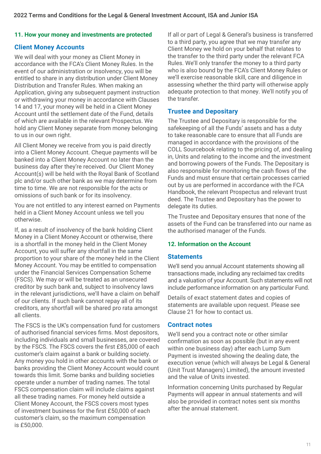#### **11. How your money and investments are protected**

### **Client Money Accounts**

We will deal with your money as Client Money in accordance with the FCA's Client Money Rules. In the event of our administration or insolvency, you will be entitled to share in any distribution under Client Money Distribution and Transfer Rules. When making an Application, giving any subsequent payment instruction or withdrawing your money in accordance with Clauses 14 and 17, your money will be held in a Client Money Account until the settlement date of the Fund, details of which are available in the relevant Prospectus. We hold any Client Money separate from money belonging to us in our own right.

All Client Money we receive from you is paid directly into a Client Money Account. Cheque payments will be banked into a Client Money Account no later than the business day after they're received. Our Client Money Account(s) will be held with the Royal Bank of Scotland plc and/or such other bank as we may determine from time to time. We are not responsible for the acts or omissions of such bank or for its insolvency.

You are not entitled to any interest earned on Payments held in a Client Money Account unless we tell you otherwise.

If, as a result of insolvency of the bank holding Client Money in a Client Money Account or otherwise, there is a shortfall in the money held in the Client Money Account, you will suffer any shortfall in the same proportion to your share of the money held in the Client Money Account. You may be entitled to compensation under the Financial Services Compensation Scheme (FSCS). We may or will be treated as an unsecured creditor by such bank and, subject to insolvency laws in the relevant jurisdictions, we'll have a claim on behalf of our clients. If such bank cannot repay all of its creditors, any shortfall will be shared pro rata amongst all clients.

The FSCS is the UK's compensation fund for customers of authorised financial services firms. Most depositors, including individuals and small businesses, are covered by the FSCS. The FSCS covers the first £85,000 of each customer's claim against a bank or building society. Any money you hold in other accounts with the bank or banks providing the Client Money Account would count towards this limit. Some banks and building societies operate under a number of trading names. The total FSCS compensation claim will include claims against all these trading names. For money held outside a Client Money Account, the FSCS covers most types of investment business for the first £50,000 of each customer's claim, so the maximum compensation is £50,000.

If all or part of Legal & General's business is transferred to a third party, you agree that we may transfer any Client Money we hold on your behalf that relates to the transfer to the third party under the relevant FCA Rules. We'll only transfer the money to a third party who is also bound by the FCA's Client Money Rules or we'll exercise reasonable skill, care and diligence in assessing whether the third party will otherwise apply adequate protection to that money. We'll notify you of the transfer.

#### **Trustee and Depositary**

The Trustee and Depositary is responsible for the safekeeping of all the Funds' assets and has a duty to take reasonable care to ensure that all Funds are managed in accordance with the provisions of the COLL Sourcebook relating to the pricing of, and dealing in, Units and relating to the income and the investment and borrowing powers of the Funds. The Depositary is also responsible for monitoring the cash flows of the Funds and must ensure that certain processes carried out by us are performed in accordance with the FCA Handbook, the relevant Prospectus and relevant trust deed. The Trustee and Depositary has the power to delegate its duties.

The Trustee and Depositary ensures that none of the assets of the Fund can be transferred into our name as the authorised manager of the Funds.

#### **12. Information on the Account**

#### **Statements**

We'll send you annual Account statements showing all transactions made, including any reclaimed tax credits and a valuation of your Account. Such statements will not include performance information on any particular Fund.

Details of exact statement dates and copies of statements are available upon request. Please see Clause 21 for how to contact us.

#### **Contract notes**

We'll send you a contract note or other similar confirmation as soon as possible (but in any event within one business day) after each Lump Sum Payment is invested showing the dealing date, the execution venue (which will always be Legal & General (Unit Trust Managers) Limited), the amount invested and the value of Units invested.

Information concerning Units purchased by Regular Payments will appear in annual statements and will also be provided in contract notes sent six months after the annual statement.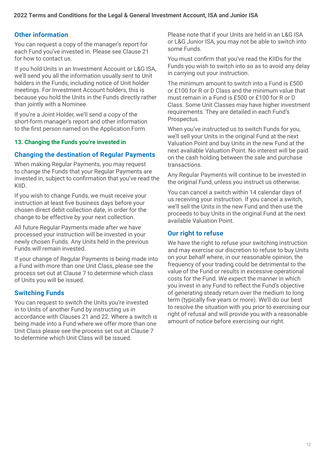### **Other information**

You can request a copy of the manager's report for each Fund you've invested in. Please see Clause 21 for how to contact us.

If you hold Units in an Investment Account or L&G ISA, we'll send you all the information usually sent to Unit holders in the Funds, including notice of Unit holder meetings. For Investment Account holders, this is because you hold the Units in the Funds directly rather than jointly with a Nominee.

If you're a Joint Holder, we'll send a copy of the short-form manager's report and other information to the first person named on the Application Form.

#### **13. Changing the Funds you're invested in**

### **Changing the destination of Regular Payments**

When making Regular Payments, you may request to change the Funds that your Regular Payments are invested in, subject to confirmation that you've read the KIID.

If you wish to change Funds, we must receive your instruction at least five business days before your chosen direct debit collection date, in order for the change to be effective by your next collection.

All future Regular Payments made after we have processed your instruction will be invested in your newly chosen Funds. Any Units held in the previous Funds will remain invested.

If your change of Regular Payments is being made into a Fund with more than one Unit Class, please see the process set out at Clause 7 to determine which class of Units you will be issued.

### **Switching Funds**

You can request to switch the Units you're invested in to Units of another Fund by instructing us in accordance with Clauses 21 and 22. Where a switch is being made into a Fund where we offer more than one Unit Class please see the process set out at Clause 7 to determine which Unit Class will be issued.

Please note that if your Units are held in an L&G ISA or L&G Junior ISA, you may not be able to switch into some Funds.

You must confirm that you've read the KIIDs for the Funds you wish to switch into so as to avoid any delay in carrying out your instruction.

The minimum amount to switch into a Fund is £500 or £100 for R or D Class and the minimum value that must remain in a Fund is £500 or £100 for R or D Class. Some Unit Classes may have higher investment requirements. They are detailed in each Fund's Prospectus.

When you've instructed us to switch Funds for you, we'll sell your Units in the original Fund at the next Valuation Point and buy Units in the new Fund at the next available Valuation Point. No interest will be paid on the cash holding between the sale and purchase transactions.

Any Regular Payments will continue to be invested in the original Fund, unless you instruct us otherwise.

You can cancel a switch within 14 calendar days of us receiving your instruction. If you cancel a switch, we'll sell the Units in the new Fund and then use the proceeds to buy Units in the original Fund at the next available Valuation Point.

### **Our right to refuse**

We have the right to refuse your switching instruction and may exercise our discretion to refuse to buy Units on your behalf where, in our reasonable opinion, the frequency of your trading could be detrimental to the value of the Fund or results in excessive operational costs for the Fund. We expect the manner in which you invest in any Fund to reflect the Fund's objective of generating steady return over the medium to long term (typically five years or more). We'll do our best to resolve the situation with you prior to exercising our right of refusal and will provide you with a reasonable amount of notice before exercising our right.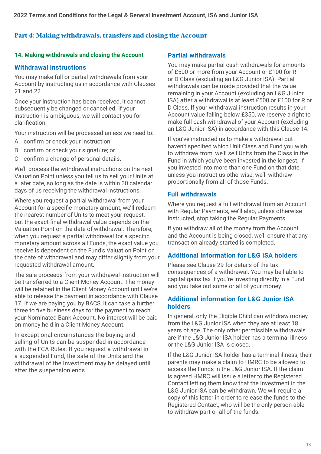### **Part 4: Making withdrawals, transfers and closing the Account**

#### **14. Making withdrawals and closing the Account**

### **Withdrawal instructions**

You may make full or partial withdrawals from your Account by instructing us in accordance with Clauses 21 and 22.

Once your instruction has been received, it cannot subsequently be changed or cancelled. If your instruction is ambiguous, we will contact you for clarification.

Your instruction will be processed unless we need to:

- A. confirm or check your instruction;
- B. confirm or check your signature; or
- C. confirm a change of personal details.

We'll process the withdrawal instructions on the next Valuation Point unless you tell us to sell your Units at a later date, so long as the date is within 30 calendar days of us receiving the withdrawal instructions.

Where you request a partial withdrawal from your Account for a specific monetary amount, we'll redeem the nearest number of Units to meet your request, but the exact final withdrawal value depends on the Valuation Point on the date of withdrawal. Therefore, when you request a partial withdrawal for a specific monetary amount across all Funds, the exact value you receive is dependent on the Fund's Valuation Point on the date of withdrawal and may differ slightly from your requested withdrawal amount.

The sale proceeds from your withdrawal instruction will be transferred to a Client Money Account. The money will be retained in the Client Money Account until we're able to release the payment in accordance with Clause 17. If we are paying you by BACS, it can take a further three to five business days for the payment to reach your Nominated Bank Account. No interest will be paid on money held in a Client Money Account.

In exceptional circumstances the buying and selling of Units can be suspended in accordance with the FCA Rules. If you request a withdrawal in a suspended Fund, the sale of the Units and the withdrawal of the Investment may be delayed until after the suspension ends.

#### **Partial withdrawals**

You may make partial cash withdrawals for amounts of £500 or more from your Account or £100 for R or D Class (excluding an L&G Junior ISA). Partial withdrawals can be made provided that the value remaining in your Account (excluding an L&G Junior ISA) after a withdrawal is at least £500 or £100 for R or D Class. If your withdrawal instruction results in your Account value falling below £350, we reserve a right to make full cash withdrawal of your Account (excluding an L&G Junior ISA) in accordance with this Clause 14.

If you've instructed us to make a withdrawal but haven't specified which Unit Class and Fund you wish to withdraw from, we'll sell Units from the Class in the Fund in which you've been invested in the longest. If you invested into more than one Fund on that date, unless you instruct us otherwise, we'll withdraw proportionally from all of those Funds.

#### **Full withdrawals**

Where you request a full withdrawal from an Account with Regular Payments, we'll also, unless otherwise instructed, stop taking the Regular Payments.

If you withdraw all of the money from the Account and the Account is being closed, we'll ensure that any transaction already started is completed.

### **Additional information for L&G ISA holders**

Please see Clause 29 for details of the tax consequences of a withdrawal. You may be liable to capital gains tax if you're investing directly in a Fund and you take out some or all of your money.

### **Additional information for L&G Junior ISA holders**

In general, only the Eligible Child can withdraw money from the L&G Junior ISA when they are at least 18 years of age. The only other permissible withdrawals are if the L&G Junior ISA holder has a terminal illness or the L&G Junior ISA is closed.

If the L&G Junior ISA holder has a terminal illness, their parents may make a claim to HMRC to be allowed to access the Funds in the L&G Junior ISA. If the claim is agreed HMRC will issue a letter to the Registered Contact letting them know that the Investment in the L&G Junior ISA can be withdrawn. We will require a copy of this letter in order to release the funds to the Registered Contact, who will be the only person able to withdraw part or all of the funds.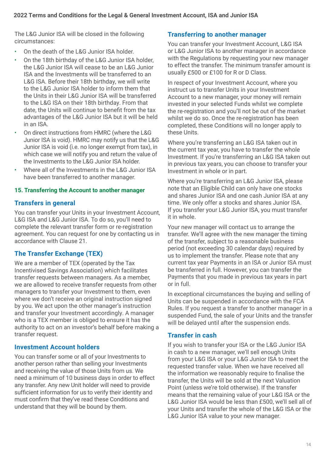The L&G Junior ISA will be closed in the following circumstances:

- On the death of the L&G Junior ISA holder.
- On the 18th birthday of the L&G Junior ISA holder, the L&G Junior ISA will cease to be an L&G Junior ISA and the Investments will be transferred to an L&G ISA. Before their 18th birthday, we will write to the L&G Junior ISA holder to inform them that the Units in their L&G Junior ISA will be transferred to the L&G ISA on their 18th birthday. From that date, the Units will continue to benefit from the tax advantages of the L&G Junior ISA but it will be held in an ISA.
- On direct instructions from HMRC (where the L&G Junior ISA is void). HMRC may notify us that the L&G Junior ISA is void (i.e. no longer exempt from tax), in which case we will notify you and return the value of the Investments to the L&G Junior ISA holder.
- Where all of the Investments in the L&G Junior ISA have been transferred to another manager.

### **15. Transferring the Account to another manager**

### **Transfers in general**

You can transfer your Units in your Investment Account, L&G ISA and L&G Junior ISA. To do so, you'll need to complete the relevant transfer form or re-registration agreement. You can request for one by contacting us in accordance with Clause 21.

### **The Transfer Exchange (TEX)**

We are a member of TEX (operated by the Tax Incentivised Savings Association) which facilitates transfer requests between managers. As a member, we are allowed to receive transfer requests from other managers to transfer your Investment to them, even where we don't receive an original instruction signed by you. We act upon the other manager's instruction and transfer your Investment accordingly. A manager who is a TEX member is obliged to ensure it has the authority to act on an investor's behalf before making a transfer request.

### **Investment Account holders**

You can transfer some or all of your Investments to another person rather than selling your Investments and receiving the value of those Units from us. We need a minimum of 10 business days in order to effect any transfer. Any new Unit holder will need to provide sufficient information for us to verify their identity and must confirm that they've read these Conditions and understand that they will be bound by them.

### **Transferring to another manager**

You can transfer your Investment Account, L&G ISA or L&G Junior ISA to another manager in accordance with the Regulations by requesting your new manager to effect the transfer. The minimum transfer amount is usually £500 or £100 for R or D Class.

In respect of your Investment Account, where you instruct us to transfer Units in your Investment Account to a new manager, your money will remain invested in your selected Funds whilst we complete the re-registration and you'll not be out of the market whilst we do so. Once the re-registration has been completed, these Conditions will no longer apply to these Units.

Where you're transferring an L&G ISA taken out in the current tax year, you have to transfer the whole Investment. If you're transferring an L&G ISA taken out in previous tax years, you can choose to transfer your Investment in whole or in part.

Where you're transferring an L&G Junior ISA, please note that an Eligible Child can only have one stocks and shares Junior ISA and one cash Junior ISA at any time. We only offer a stocks and shares Junior ISA. If you transfer your L&G Junior ISA, you must transfer it in whole.

Your new manager will contact us to arrange the transfer. We'll agree with the new manager the timing of the transfer, subject to a reasonable business period (not exceeding 30 calendar days) required by us to implement the transfer. Please note that any current tax year Payments in an ISA or Junior ISA must be transferred in full. However, you can transfer the Payments that you made in previous tax years in part or in full.

In exceptional circumstances the buying and selling of Units can be suspended in accordance with the FCA Rules. If you request a transfer to another manager in a suspended Fund, the sale of your Units and the transfer will be delayed until after the suspension ends.

### **Transfer in cash**

If you wish to transfer your ISA or the L&G Junior ISA in cash to a new manager, we'll sell enough Units from your L&G ISA or your L&G Junior ISA to meet the requested transfer value. When we have received all the information we reasonably require to finalise the transfer, the Units will be sold at the next Valuation Point (unless we're told otherwise). If the transfer means that the remaining value of your L&G ISA or the L&G Junior ISA would be less than £500, we'll sell all of your Units and transfer the whole of the L&G ISA or the L&G Junior ISA value to your new manager.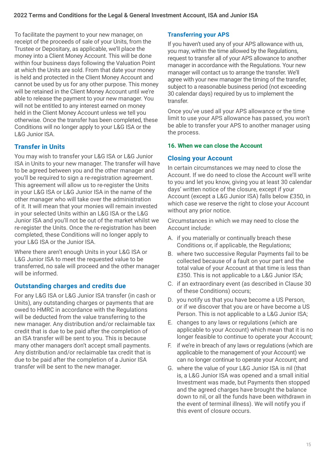To facilitate the payment to your new manager, on receipt of the proceeds of sale of your Units, from the Trustee or Depositary, as applicable, we'll place the money into a Client Money Account. This will be done within four business days following the Valuation Point at which the Units are sold. From that date your money is held and protected in the Client Money Account and cannot be used by us for any other purpose. This money will be retained in the Client Money Account until we're able to release the payment to your new manager. You will not be entitled to any interest earned on money held in the Client Money Account unless we tell you otherwise. Once the transfer has been completed, these Conditions will no longer apply to your L&G ISA or the L&G Junior ISA.

### **Transfer in Units**

You may wish to transfer your L&G ISA or L&G Junior ISA in Units to your new manager. The transfer will have to be agreed between you and the other manager and you'll be required to sign a re-registration agreement. This agreement will allow us to re-register the Units in your L&G ISA or L&G Junior ISA in the name of the other manager who will take over the administration of it. It will mean that your monies will remain invested in your selected Units within an L&G ISA or the L&G Junior ISA and you'll not be out of the market whilst we re-register the Units. Once the re-registration has been completed, these Conditions will no longer apply to your L&G ISA or the Junior ISA.

Where there aren't enough Units in your L&G ISA or L&G Junior ISA to meet the requested value to be transferred, no sale will proceed and the other manager will be informed.

### **Outstanding charges and credits due**

For any L&G ISA or L&G Junior ISA transfer (in cash or Units), any outstanding charges or payments that are owed to HMRC in accordance with the Regulations will be deducted from the value transferring to the new manager. Any distribution and/or reclaimable tax credit that is due to be paid after the completion of an ISA transfer will be sent to you. This is because many other managers don't accept small payments. Any distribution and/or reclaimable tax credit that is due to be paid after the completion of a Junior ISA transfer will be sent to the new manager.

### **Transferring your APS**

If you haven't used any of your APS allowance with us, you may, within the time allowed by the Regulations, request to transfer all of your APS allowance to another manager in accordance with the Regulations. Your new manager will contact us to arrange the transfer. We'll agree with your new manager the timing of the transfer, subject to a reasonable business period (not exceeding 30 calendar days) required by us to implement the transfer.

Once you've used all your APS allowance or the time limit to use your APS allowance has passed, you won't be able to transfer your APS to another manager using the process.

### **16. When we can close the Account**

### **Closing your Account**

In certain circumstances we may need to close the Account. If we do need to close the Account we'll write to you and let you know, giving you at least 30 calendar days' written notice of the closure, except if your Account (except a L&G Junior ISA) falls below £350, in which case we reserve the right to close your Account without any prior notice.

Circumstances in which we may need to close the Account include:

- A. if you materially or continually breach these Conditions or, if applicable, the Regulations;
- B. where two successive Regular Payments fail to be collected because of a fault on your part and the total value of your Account at that time is less than £350. This is not applicable to a L&G Junior ISA;
- C. if an extraordinary event (as described in Clause 30 of these Conditions) occurs;
- D. you notify us that you have become a US Person, or if we discover that you are or have become a US Person. This is not applicable to a L&G Junior ISA;
- E. changes to any laws or regulations (which are applicable to your Account) which mean that it is no longer feasible to continue to operate your Account;
- F. if we're in breach of any laws or regulations (which are applicable to the management of your Account) we can no longer continue to operate your Account; and
- G. where the value of your L&G Junior ISA is nil (that is, a L&G Junior ISA was opened and a small initial Investment was made, but Payments then stopped and the agreed charges have brought the balance down to nil, or all the funds have been withdrawn in the event of terminal illness). We will notify you if this event of closure occurs.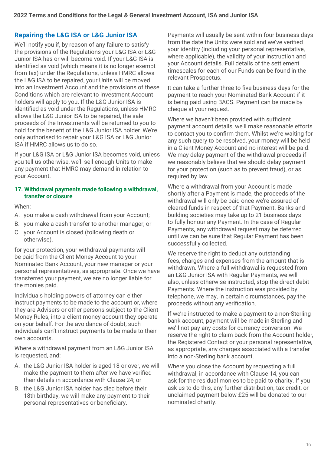### **Repairing the L&G ISA or L&G Junior ISA**

We'll notify you if, by reason of any failure to satisfy the provisions of the Regulations your L&G ISA or L&G Junior ISA has or will become void. If your L&G ISA is identified as void (which means it is no longer exempt from tax) under the Regulations, unless HMRC allows the L&G ISA to be repaired, your Units will be moved into an Investment Account and the provisions of these Conditions which are relevant to Investment Account holders will apply to you. If the L&G Junior ISA is identified as void under the Regulations, unless HMRC allows the L&G Junior ISA to be repaired, the sale proceeds of the Investments will be returned to you to hold for the benefit of the L&G Junior ISA holder. We're only authorised to repair your L&G ISA or L&G Junior ISA if HMRC allows us to do so.

If your L&G ISA or L&G Junior ISA becomes void, unless you tell us otherwise, we'll sell enough Units to make any payment that HMRC may demand in relation to your Account.

#### **17. Withdrawal payments made following a withdrawal, transfer or closure**

When:

- A. you make a cash withdrawal from your Account;
- B. you make a cash transfer to another manager; or
- C. your Account is closed (following death or otherwise),

for your protection, your withdrawal payments will be paid from the Client Money Account to your Nominated Bank Account, your new manager or your personal representatives, as appropriate. Once we have transferred your payment, we are no longer liable for the monies paid.

Individuals holding powers of attorney can either instruct payments to be made to the account or, where they are Advisers or other persons subject to the Client Money Rules, into a client money account they operate on your behalf. For the avoidance of doubt, such individuals can't instruct payments to be made to their own accounts.

Where a withdrawal payment from an L&G Junior ISA is requested, and:

- A. the L&G Junior ISA holder is aged 18 or over, we will make the payment to them after we have verified their details in accordance with Clause 24; or
- B. the L&G Junior ISA holder has died before their 18th birthday, we will make any payment to their personal representatives or beneficiary.

Payments will usually be sent within four business days from the date the Units were sold and we've verified your identity (including your personal representative, where applicable), the validity of your instruction and your Account details. Full details of the settlement timescales for each of our Funds can be found in the relevant Prospectus.

It can take a further three to five business days for the payment to reach your Nominated Bank Account if it is being paid using BACS. Payment can be made by cheque at your request.

Where we haven't been provided with sufficient payment account details, we'll make reasonable efforts to contact you to confirm them. Whilst we're waiting for any such query to be resolved, your money will be held in a Client Money Account and no interest will be paid. We may delay payment of the withdrawal proceeds if we reasonably believe that we should delay payment for your protection (such as to prevent fraud), or as required by law.

Where a withdrawal from your Account is made shortly after a Payment is made, the proceeds of the withdrawal will only be paid once we're assured of cleared funds in respect of that Payment. Banks and building societies may take up to 21 business days to fully honour any Payment. In the case of Regular Payments, any withdrawal request may be deferred until we can be sure that Regular Payment has been successfully collected.

We reserve the right to deduct any outstanding fees, charges and expenses from the amount that is withdrawn. Where a full withdrawal is requested from an L&G Junior ISA with Regular Payments, we will also, unless otherwise instructed, stop the direct debit Payments. Where the instruction was provided by telephone, we may, in certain circumstances, pay the proceeds without any verification.

If we're instructed to make a payment to a non-Sterling bank account, payment will be made in Sterling and we'll not pay any costs for currency conversion. We reserve the right to claim back from the Account holder, the Registered Contact or your personal representative, as appropriate, any charges associated with a transfer into a non-Sterling bank account.

Where you close the Account by requesting a full withdrawal, in accordance with Clause 14, you can ask for the residual monies to be paid to charity. If you ask us to do this, any further distribution, tax credit, or unclaimed payment below £25 will be donated to our nominated charity.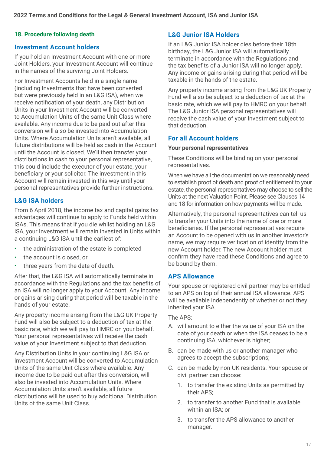### **18. Procedure following death L&G Junior ISA Holders**

#### **Investment Account holders**

If you hold an Investment Account with one or more Joint Holders, your Investment Account will continue in the names of the surviving Joint Holders.

For Investment Accounts held in a single name (including Investments that have been converted but were previously held in an L&G ISA), when we receive notification of your death, any Distribution Units in your Investment Account will be converted to Accumulation Units of the same Unit Class where available. Any income due to be paid out after this conversion will also be invested into Accumulation Units. Where Accumulation Units aren't available, all future distributions will be held as cash in the Account until the Account is closed. We'll then transfer your distributions in cash to your personal representative, this could include the executor of your estate, your beneficiary or your solicitor. The investment in this Account will remain invested in this way until your personal representatives provide further instructions.

### **L&G ISA holders**

From 6 April 2018, the income tax and capital gains tax advantages will continue to apply to Funds held within ISAs. This means that if you die whilst holding an L&G ISA, your Investment will remain invested in Units within a continuing L&G ISA until the earliest of:

- the administration of the estate is completed
- the account is closed, or
- three years from the date of death.

After that, the L&G ISA will automatically terminate in accordance with the Regulations and the tax benefits of an ISA will no longer apply to your Account. Any income or gains arising during that period will be taxable in the hands of your estate.

Any property income arising from the L&G UK Property Fund will also be subject to a deduction of tax at the basic rate, which we will pay to HMRC on your behalf. Your personal representatives will receive the cash value of your Investment subject to that deduction.

Any Distribution Units in your continuing L&G ISA or Investment Account will be converted to Accumulation Units of the same Unit Class where available. Any income due to be paid out after this conversion, will also be invested into Accumulation Units. Where Accumulation Units aren't available, all future distributions will be used to buy additional Distribution Units of the same Unit Class.

If an L&G Junior ISA holder dies before their 18th birthday, the L&G Junior ISA will automatically terminate in accordance with the Regulations and the tax benefits of a Junior ISA will no longer apply. Any income or gains arising during that period will be taxable in the hands of the estate.

Any property income arising from the L&G UK Property Fund will also be subject to a deduction of tax at the basic rate, which we will pay to HMRC on your behalf. The L&G Junior ISA personal representatives will receive the cash value of your Investment subject to that deduction.

### **For all Account holders**

#### **Your personal representatives**

These Conditions will be binding on your personal representatives.

When we have all the documentation we reasonably need to establish proof of death and proof of entitlement to your estate, the personal representatives may choose to sell the Units at the next Valuation Point. Please see Clauses 14 and 18 for information on how payments will be made.

Alternatively, the personal representatives can tell us to transfer your Units into the name of one or more beneficiaries. If the personal representatives require an Account to be opened with us in another investor's name, we may require verification of identity from the new Account holder. The new Account holder must confirm they have read these Conditions and agree to be bound by them.

### **APS Allowance**

Your spouse or registered civil partner may be entitled to an APS on top of their annual ISA allowance. APS will be available independently of whether or not they inherited your ISA.

The APS:

- A. will amount to either the value of your ISA on the date of your death or when the ISA ceases to be a continuing ISA, whichever is higher;
- B. can be made with us or another manager who agrees to accept the subscriptions;
- C. can be made by non-UK residents. Your spouse or civil partner can choose:
	- 1. to transfer the existing Units as permitted by their APS;
	- 2. to transfer to another Fund that is available within an ISA; or
	- 3. to transfer the APS allowance to another manager.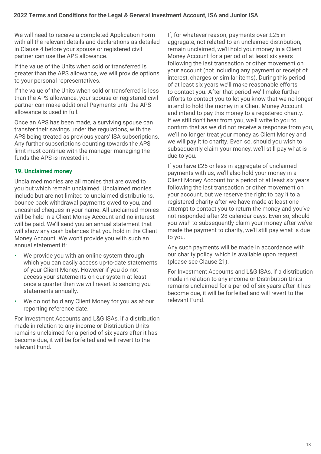We will need to receive a completed Application Form with all the relevant details and declarations as detailed in Clause 4 before your spouse or registered civil partner can use the APS allowance.

If the value of the Units when sold or transferred is greater than the APS allowance, we will provide options to your personal representatives.

If the value of the Units when sold or transferred is less than the APS allowance, your spouse or registered civil partner can make additional Payments until the APS allowance is used in full.

Once an APS has been made, a surviving spouse can transfer their savings under the regulations, with the APS being treated as previous years' ISA subscriptions. Any further subscriptions counting towards the APS limit must continue with the manager managing the funds the APS is invested in.

### **19. Unclaimed money**

Unclaimed monies are all monies that are owed to you but which remain unclaimed. Unclaimed monies include but are not limited to unclaimed distributions, bounce back withdrawal payments owed to you, and uncashed cheques in your name. All unclaimed monies will be held in a Client Money Account and no interest will be paid. We'll send you an annual statement that will show any cash balances that you hold in the Client Money Account. We won't provide you with such an annual statement if:

- We provide you with an online system through which you can easily access up-to-date statements of your Client Money. However if you do not access your statements on our system at least once a quarter then we will revert to sending you statements annually.
- We do not hold any Client Money for you as at our reporting reference date.

For Investment Accounts and L&G ISAs, if a distribution made in relation to any income or Distribution Units remains unclaimed for a period of six years after it has become due, it will be forfeited and will revert to the relevant Fund.

If, for whatever reason, payments over £25 in aggregate, not related to an unclaimed distribution, remain unclaimed, we'll hold your money in a Client Money Account for a period of at least six years following the last transaction or other movement on your account (not including any payment or receipt of interest, charges or similar items). During this period of at least six years we'll make reasonable efforts to contact you. After that period we'll make further efforts to contact you to let you know that we no longer intend to hold the money in a Client Money Account and intend to pay this money to a registered charity. If we still don't hear from you, we'll write to you to confirm that as we did not receive a response from you, we'll no longer treat your money as Client Money and we will pay it to charity. Even so, should you wish to subsequently claim your money, we'll still pay what is due to you.

If you have £25 or less in aggregate of unclaimed payments with us, we'll also hold your money in a Client Money Account for a period of at least six years following the last transaction or other movement on your account, but we reserve the right to pay it to a registered charity after we have made at least one attempt to contact you to return the money and you've not responded after 28 calendar days. Even so, should you wish to subsequently claim your money after we've made the payment to charity, we'll still pay what is due to you.

Any such payments will be made in accordance with our charity policy, which is available upon request (please see Clause 21).

For Investment Accounts and L&G ISAs, if a distribution made in relation to any income or Distribution Units remains unclaimed for a period of six years after it has become due, it will be forfeited and will revert to the relevant Fund.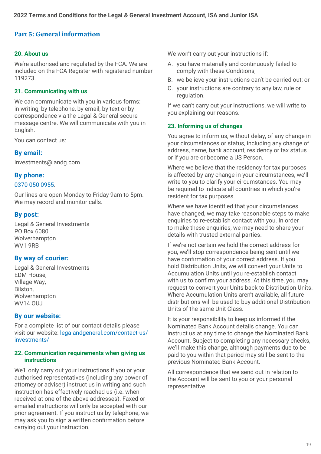### **Part 5: General information**

#### **20. About us**

We're authorised and regulated by the FCA. We are included on the FCA Register with registered number 119273.

#### **21. Communicating with us**

We can communicate with you in various forms: in writing, by telephone, by email, by text or by correspondence via the Legal & General secure message centre. We will communicate with you in English.

You can contact us:

### **By email:**

[Investments@landg.com](mailto:Investments@landg.com) 

### **By phone:**

#### 0370 050 0955.

Our lines are open Monday to Friday 9am to 5pm. We may record and monitor calls.

### **By post:**

Legal & General Investments PO Box 6080 Wolverhampton WV1 9RB

### **By way of courier:**

Legal & General Investments EDM House, Village Way, Bilston, Wolverhampton WV14 OUJ

### **By our website:**

For a complete list of our contact details please visit our website: [legalandgeneral.com/contact-us/](http://legalandgeneral.com/contact-us/investments/) [investments/](http://legalandgeneral.com/contact-us/investments/)

#### **22. Communication requirements when giving us instructions**

We'll only carry out your instructions if you or your authorised representatives (including any power of attorney or adviser) instruct us in writing and such instruction has effectively reached us (i.e. when received at one of the above addresses). Faxed or emailed instructions will only be accepted with our prior agreement. If you instruct us by telephone, we may ask you to sign a written confirmation before carrying out your instruction.

We won't carry out your instructions if:

- A. you have materially and continuously failed to comply with these Conditions;
- B. we believe your instructions can't be carried out; or
- C. your instructions are contrary to any law, rule or regulation.

If we can't carry out your instructions, we will write to you explaining our reasons.

#### **23. Informing us of changes**

You agree to inform us, without delay, of any change in your circumstances or status, including any change of address, name, bank account, residency or tax status or if you are or become a US Person.

Where we believe that the residency for tax purposes is affected by any change in your circumstances, we'll write to you to clarify your circumstances. You may be required to indicate all countries in which you're resident for tax purposes.

Where we have identified that your circumstances have changed, we may take reasonable steps to make enquiries to re-establish contact with you. In order to make these enquiries, we may need to share your details with trusted external parties.

If we're not certain we hold the correct address for you, we'll stop correspondence being sent until we have confirmation of your correct address. If you hold Distribution Units, we will convert your Units to Accumulation Units until you re-establish contact with us to confirm your address. At this time, you may request to convert your Units back to Distribution Units. Where Accumulation Units aren't available, all future distributions will be used to buy additional Distribution Units of the same Unit Class.

It is your responsibility to keep us informed if the Nominated Bank Account details change. You can instruct us at any time to change the Nominated Bank Account. Subject to completing any necessary checks, we'll make this change, although payments due to be paid to you within that period may still be sent to the previous Nominated Bank Account.

All correspondence that we send out in relation to the Account will be sent to you or your personal representative.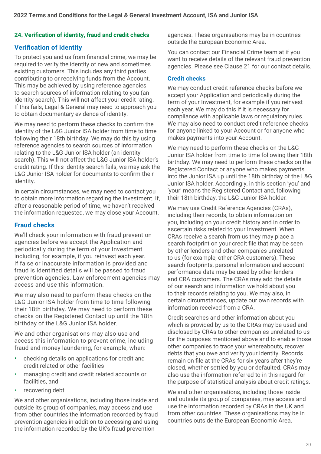### **24. Verification of identity, fraud and credit checks**

### **Verification of identity**

To protect you and us from financial crime, we may be required to verify the identity of new and sometimes existing customers. This includes any third parties contributing to or receiving funds from the Account. This may be achieved by using reference agencies to search sources of information relating to you (an identity search). This will not affect your credit rating. If this fails, Legal & General may need to approach you to obtain documentary evidence of identity.

We may need to perform these checks to confirm the identity of the L&G Junior ISA holder from time to time following their 18th birthday. We may do this by using reference agencies to search sources of information relating to the L&G Junior ISA holder (an identity search). This will not affect the L&G Junior ISA holder's credit rating. If this identity search fails, we may ask the L&G Junior ISA holder for documents to confirm their identity.

In certain circumstances, we may need to contact you to obtain more information regarding the Investment. If, after a reasonable period of time, we haven't received the information requested, we may close your Account.

### **Fraud checks**

We'll check your information with fraud prevention agencies before we accept the Application and periodically during the term of your Investment including, for example, if you reinvest each year. If false or inaccurate information is provided and fraud is identified details will be passed to fraud prevention agencies. Law enforcement agencies may access and use this information.

We may also need to perform these checks on the L&G Junior ISA holder from time to time following their 18th birthday. We may need to perform these checks on the Registered Contact up until the 18th birthday of the L&G Junior ISA holder.

We and other organisations may also use and access this information to prevent crime, including fraud and money laundering, for example, when:

- checking details on applications for credit and credit related or other facilities
- managing credit and credit related accounts or facilities, and
- recovering debt.

We and other organisations, including those inside and outside its group of companies, may access and use from other countries the information recorded by fraud prevention agencies in addition to accessing and using the information recorded by the UK's fraud prevention

agencies. These organisations may be in countries outside the European Economic Area.

You can contact our Financial Crime team at if you want to receive details of the relevant fraud prevention agencies. Please see Clause 21 for our contact details.

#### **Credit checks**

We may conduct credit reference checks before we accept your Application and periodically during the term of your Investment, for example if you reinvest each year. We may do this if it is necessary for compliance with applicable laws or regulatory rules. We may also need to conduct credit reference checks for anyone linked to your Account or for anyone who makes payments into your Account.

We may need to perform these checks on the L&G Junior ISA holder from time to time following their 18th birthday. We may need to perform these checks on the Registered Contact or anyone who makes payments into the Junior ISA up until the 18th birthday of the L&G Junior ISA holder. Accordingly, in this section 'you' and 'your' means the Registered Contact and, following their 18th birthday, the L&G Junior ISA holder.

We may use Credit Reference Agencies (CRAs), including their records, to obtain information on you, including on your credit history and in order to ascertain risks related to your Investment. When CRAs receive a search from us they may place a search footprint on your credit file that may be seen by other lenders and other companies unrelated to us (for example, other CRA customers). These search footprints, personal information and account performance data may be used by other lenders and CRA customers. The CRAs may add the details of our search and information we hold about you to their records relating to you. We may also, in certain circumstances, update our own records with information received from a CRA.

Credit searches and other information about you which is provided by us to the CRAs may be used and disclosed by CRAs to other companies unrelated to us for the purposes mentioned above and to enable those other companies to trace your whereabouts, recover debts that you owe and verify your identity. Records remain on file at the CRAs for six years after they're closed, whether settled by you or defaulted. CRAs may also use the information referred to in this regard for the purpose of statistical analysis about credit ratings.

We and other organisations, including those inside and outside its group of companies, may access and use the information recorded by CRAs in the UK and from other countries. These organisations may be in countries outside the European Economic Area.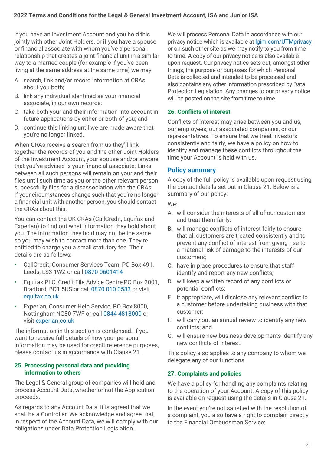If you have an Investment Account and you hold this jointly with other Joint Holders, or if you have a spouse or financial associate with whom you've a personal relationship that creates a joint financial unit in a similar way to a married couple (for example if you've been living at the same address at the same time) we may:

- A. search, link and/or record information at CRAs about you both;
- B. link any individual identified as your financial associate, in our own records;
- C. take both your and their information into account in future applications by either or both of you; and
- D. continue this linking until we are made aware that you're no longer linked.

When CRAs receive a search from us they'll link together the records of you and the other Joint Holders of the Investment Account, your spouse and/or anyone that you've advised is your financial associate. Links between all such persons will remain on your and their files until such time as you or the other relevant person successfully files for a disassociation with the CRAs. If your circumstances change such that you're no longer a financial unit with another person, you should contact the CRAs about this.

You can contact the UK CRAs (CallCredit, Equifax and Experian) to find out what information they hold about you. The information they hold may not be the same so you may wish to contact more than one. They're entitled to charge you a small statutory fee. Their details are as follows:

- CallCredit, Consumer Services Team, PO Box 491, Leeds, LS3 1WZ or call 0870 0601414
- Equifax PLC, Credit File Advice Centre,PO Box 3001, Bradford, BD1 5US or call 0870 010 0583 or visit [equifax.co.uk](http://www.equifax.co.uk)
- Experian, Consumer Help Service, PO Box 8000, Nottingham NG80 7WF or call 0844 4818000 or visit [experian.co.uk](http://www.equifax.co.uk)

The information in this section is condensed. If you want to receive full details of how your personal information may be used for credit reference purposes, please contact us in accordance with Clause 21.

#### **25. Processing personal data and providing information to others**

The Legal & General group of companies will hold and process Account Data, whether or not the Application proceeds.

As regards to any Account Data, it is agreed that we shall be a Controller. We acknowledge and agree that, in respect of the Account Data, we will comply with our obligations under Data Protection Legislation.

We will process Personal Data in accordance with our privacy notice which is available at [lgim.com/UTMprivacy](https://lgim.com/UTMprivacy) or on such other site as we may notify to you from time to time. A copy of our privacy notice is also available upon request. Our privacy notice sets out, amongst other things, the purpose or purposes for which Personal Data is collected and intended to be processed and also contains any other information prescribed by Data Protection Legislation. Any changes to our privacy notice will be posted on the site from time to time.

### **26. Conflicts of interest**

Conflicts of interest may arise between you and us, our employees, our associated companies, or our representatives. To ensure that we treat investors consistently and fairly, we have a policy on how to identify and manage these conflicts throughout the time your Account is held with us.

### **Policy summary**

A copy of the full policy is available upon request using the contact details set out in Clause 21. Below is a summary of our policy:

We:

- A. will consider the interests of all of our customers and treat them fairly;
- B. will manage conflicts of interest fairly to ensure that all customers are treated consistently and to prevent any conflict of interest from giving rise to a material risk of damage to the interests of our customers;
- C. have in place procedures to ensure that staff identify and report any new conflicts;
- D. will keep a written record of any conflicts or potential conflicts;
- E. if appropriate, will disclose any relevant conflict to a customer before undertaking business with that customer;
- F. will carry out an annual review to identify any new conflicts; and
- G. will ensure new business developments identify any new conflicts of interest.

This policy also applies to any company to whom we delegate any of our functions.

### **27. Complaints and policies**

We have a policy for handling any complaints relating to the operation of your Account. A copy of this policy is available on request using the details in Clause 21.

In the event you're not satisfied with the resolution of a complaint, you also have a right to complain directly to the Financial Ombudsman Service: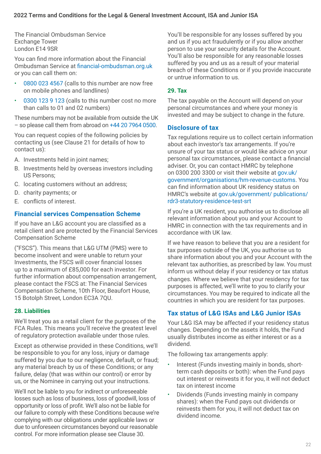The Financial Ombudsman Service Exchange Tower London E14 9SR

 Ombudsman Service at financial-ombudsman.org.uk You can find more information about the Financial or you can call them on:

- 0800 023 4567 (calls to this number are now free on mobile phones and landlines)
- 0300 123 9 123 (calls to this number cost no more than calls to 01 and 02 numbers)

These numbers may not be available from outside the UK – so please call them from abroad on +44 20 7964 0500.

You can request copies of the following policies by contacting us (see Clause 21 for details of how to contact us):

- A. Investments held in joint names;
- B. Investments held by overseas investors including US Persons;
- C. locating customers without an address;
- D. charity payments; or
- E. conflicts of interest.

### **Financial services Compensation Scheme**

If you have an L&G account you are classified as a retail client and are protected by the Financial Services Compensation Scheme

("FSCS"). This means that L&G UTM (PMS) were to become insolvent and were unable to return your Investments, the FSCS will cover financial losses up to a maximum of £85,000 for each investor. For further information about compensation arrangement, please contact the FSCS at: The Financial Services Compensation Scheme, 10th Floor, Beaufort House, 15 Botolph Street, London EC3A 7QU.

### **28. Liabilities**

We'll treat you as a retail client for the purposes of the FCA Rules. This means you'll receive the greatest level of regulatory protection available under those rules.

Except as otherwise provided in these Conditions, we'll be responsible to you for any loss, injury or damage suffered by you due to our negligence, default, or fraud; any material breach by us of these Conditions; or any failure, delay (that was within our control) or error by us, or the Nominee in carrying out your instructions.

We'll not be liable to you for indirect or unforeseeable losses such as loss of business, loss of goodwill, loss of opportunity or loss of profit. We'll also not be liable for our failure to comply with these Conditions because we're complying with our obligations under applicable laws or due to unforeseen circumstances beyond our reasonable control. For more information please see Clause 30.

You'll be responsible for any losses suffered by you and us if you act fraudulently or if you allow another person to use your security details for the Account. You'll also be responsible for any reasonable losses suffered by you and us as a result of your material breach of these Conditions or if you provide inaccurate or untrue information to us.

### **29. Tax**

The tax payable on the Account will depend on your personal circumstances and where your money is invested and may be subject to change in the future.

### **Disclosure of tax**

Tax regulations require us to collect certain information about each investor's tax arrangements. If you're unsure of your tax status or would like advice on your personal tax circumstances, please contact a financial adviser. Or, you can contact HMRC by telephone on 0300 200 3300 or visit their website at gov.uk/ government/organisations/hm-revenue-customs. You can find information about UK residency status on HMRC's website at gov.uk/government/ publications/ rdr3-statutory-residence-test-srt

If you're a UK resident, you authorise us to disclose all relevant information about you and your Account to HMRC in connection with the tax requirements and in accordance with UK law.

If we have reason to believe that you are a resident for tax purposes outside of the UK, you authorise us to share information about you and your Account with the relevant tax authorities, as prescribed by law. You must inform us without delay if your residency or tax status changes. Where we believe that your residency for tax purposes is affected, we'll write to you to clarify your circumstances. You may be required to indicate all the countries in which you are resident for tax purposes.

### **Tax status of L&G ISAs and L&G Junior ISAs**

Your L&G ISA may be affected if your residency status changes. Depending on the assets it holds, the Fund usually distributes income as either interest or as a dividend.

The following tax arrangements apply:

- Interest (Funds investing mainly in bonds, shortterm cash deposits or both): when the Fund pays out interest or reinvests it for you, it will not deduct tax on interest income
- Dividends (Funds investing mainly in company shares): when the Fund pays out dividends or reinvests them for you, it will not deduct tax on dividend income.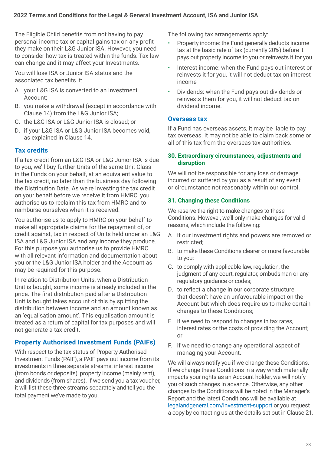The Eligible Child benefits from not having to pay personal income tax or capital gains tax on any profit they make on their L&G Junior ISA. However, you need to consider how tax is treated within the funds. Tax law can change and it may affect your Investments.

You will lose ISA or Junior ISA status and the associated tax benefits if:

- A. your L&G ISA is converted to an Investment Account;
- B. you make a withdrawal (except in accordance with Clause 14) from the L&G Junior ISA;
- C. the L&G ISA or L&G Junior ISA is closed; or
- D. if your L&G ISA or L&G Junior ISA becomes void, as explained in Clause 14.

### **Tax credits**

If a tax credit from an L&G ISA or L&G Junior ISA is due to you, we'll buy further Units of the same Unit Class in the Funds on your behalf, at an equivalent value to the tax credit, no later than the business day following the Distribution Date. As we're investing the tax credit on your behalf before we receive it from HMRC, you authorise us to reclaim this tax from HMRC and to reimburse ourselves when it is received.

You authorise us to apply to HMRC on your behalf to make all appropriate claims for the repayment of, or credit against, tax in respect of Units held under an L&G ISA and L&G Junior ISA and any income they produce. For this purpose you authorise us to provide HMRC with all relevant information and documentation about you or the L&G Junior ISA holder and the Account as may be required for this purpose.

In relation to Distribution Units, when a Distribution Unit is bought, some income is already included in the price. The first distribution paid after a Distribution Unit is bought takes account of this by splitting the distribution between income and an amount known as an 'equalisation amount'. This equalisation amount is treated as a return of capital for tax purposes and will not generate a tax credit.

### **Property Authorised Investment Funds (PAIFs)**

With respect to the tax status of Property Authorised Investment Funds (PAIF), a PAIF pays out income from its investments in three separate streams: interest income (from bonds or deposits), property income (mainly rent), and dividends (from shares). If we send you a tax voucher, it will list these three streams separately and tell you the total payment we've made to you.

The following tax arrangements apply:

- Property income: the Fund generally deducts income tax at the basic rate of tax (currently 20%) before it pays out property income to you or reinvests it for you
- Interest income: when the Fund pays out interest or reinvests it for you, it will not deduct tax on interest income
- Dividends: when the Fund pays out dividends or reinvests them for you, it will not deduct tax on dividend income.

### **Overseas tax**

If a Fund has overseas assets, it may be liable to pay tax overseas. It may not be able to claim back some or all of this tax from the overseas tax authorities.

#### **30. Extraordinary circumstances, adjustments and disruption**

We will not be responsible for any loss or damage incurred or suffered by you as a result of any event or circumstance not reasonably within our control.

### **31. Changing these Conditions**

We reserve the right to make changes to these Conditions. However, we'll only make changes for valid reasons, which include the following:

- A. if our investment rights and powers are removed or restricted;
- B. to make these Conditions clearer or more favourable to you;
- C. to comply with applicable law, regulation, the judgment of any court, regulator, ombudsman or any regulatory guidance or codes;
- D. to reflect a change in our corporate structure that doesn't have an unfavourable impact on the Account but which does require us to make certain changes to these Conditions;
- E. if we need to respond to changes in tax rates, interest rates or the costs of providing the Account; or
- F. if we need to change any operational aspect of managing your Account.

We will always notify you if we change these Conditions. If we change these Conditions in a way which materially impacts your rights as an Account holder, we will notify you of such changes in advance. Otherwise, any other changes to the Conditions will be noted in the Manager's Report and the latest Conditions will be available at [legalandgeneral.com/investment-support](http://legalandgeneral.com/investment-support) or you request a copy by contacting us at the details set out in Clause 21.